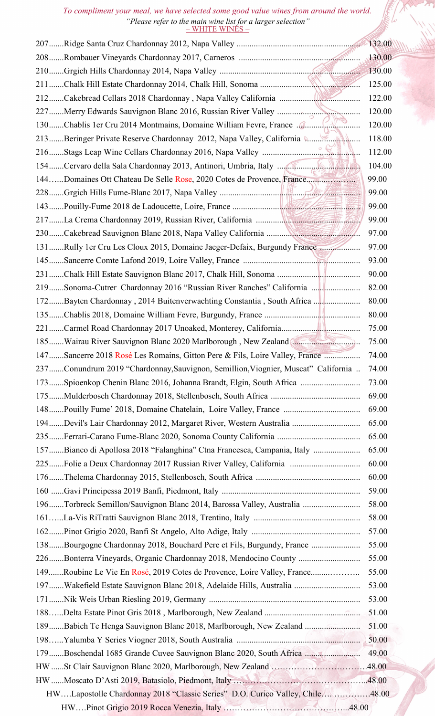To compliment your meal, we have selected some good value wines from around the world. "Please refer to the main wine list for a larger selection"<br>  $-\frac{\text{WHITE} \text{ WINES} - \text{WRT}}{2}$ 

|                                                                                   | 130.00 |
|-----------------------------------------------------------------------------------|--------|
|                                                                                   |        |
|                                                                                   | 125.00 |
|                                                                                   | 122.00 |
|                                                                                   | 120.00 |
| 130Chablis 1er Cru 2014 Montmains, Domaine William Fevre, France                  | 120.00 |
| 213  Beringer Private Reserve Chardonnay 2012, Napa Valley, California            | 118.00 |
|                                                                                   | 112.00 |
|                                                                                   | 104.00 |
| 144Domaines Ott Chateau De Selle Rose, 2020 Cotes de Provence, France             | 99.00  |
|                                                                                   | 99.00  |
|                                                                                   | 99.00  |
|                                                                                   | 99.00  |
| 230 Cakebread Sauvignon Blanc 2018, Napa Valley California                        | 97.00  |
| 131 Rully 1er Cru Les Cloux 2015, Domaine Jaeger-Defaix, Burgundy France          | 97.00  |
|                                                                                   | 93.00  |
| 231 Chalk Hill Estate Sauvignon Blanc 2017, Chalk Hill, Sonoma                    | 90.00  |
| 219Sonoma-Cutrer Chardonnay 2016 "Russian River Ranches" California               | 82.00  |
| 172Bayten Chardonnay, 2014 Buitenverwachting Constantia, South Africa             | 80.00  |
|                                                                                   | 80.00  |
| 221 Carmel Road Chardonnay 2017 Unoaked, Monterey, California                     | 75.00  |
|                                                                                   | 75.00  |
| 147Sancerre 2018 Rosé Les Romains, Gitton Pere & Fils, Loire Valley, France       | 74.00  |
| 237Conundrum 2019 "Chardonnay, Sauvignon, Semillion, Viognier, Muscat" California | 74.00  |
| 173Spioenkop Chenin Blanc 2016, Johanna Brandt, Elgin, South Africa               | 73.00  |
|                                                                                   | 69.00  |
|                                                                                   | 69.00  |
|                                                                                   | 65.00  |
|                                                                                   | 65.00  |
| 157Bianco di Apollosa 2018 "Falanghina" Ctna Francesca, Campania, Italy           | 65.00  |
|                                                                                   | 60.00  |
|                                                                                   | 60.00  |
|                                                                                   | 59.00  |
| 196Torbreck Semillon/Sauvignon Blanc 2014, Barossa Valley, Australia              | 58.00  |
|                                                                                   | 58.00  |
|                                                                                   | 57.00  |
| 138Bourgogne Chardonnay 2018, Bouchard Pere et Fils, Burgundy, France             | 55.00  |
| 226Bonterra Vineyards, Organic Chardonnay 2018, Mendocino County                  | 55.00  |
| 149Roubine Le Vie En Rosé, 2019 Cotes de Provence, Loire Valley, France           | 55.00  |
| 197Wakefield Estate Sauvignon Blanc 2018, Adelaide Hills, Australia               | 53.00  |
|                                                                                   | 53.00  |
|                                                                                   | 51.00  |
| 189Babich Te Henga Sauvignon Blanc 2018, Marlborough, New Zealand                 | 51.00  |
|                                                                                   | 50.00  |
| 179Boschendal 1685 Grande Cuvee Sauvignon Blanc 2020, South Africa                | 49.00  |
| HW St Clair Sauvignon Blanc 2020, Marlborough, New Zealand 48.00                  |        |
|                                                                                   |        |
| HWLapostolle Chardonnay 2018 "Classic Series" D.O. Curico Valley, Chile48.00      |        |
|                                                                                   |        |
|                                                                                   |        |